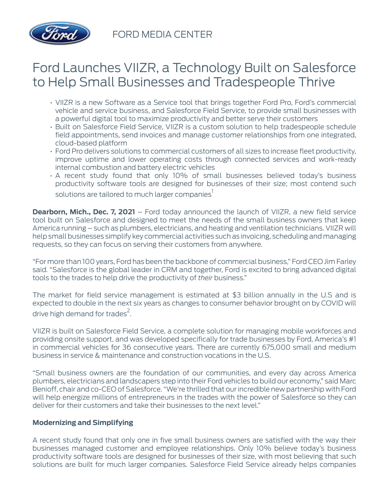

FORD MEDIA CENTER

## Ford Launches VIIZR, a Technology Built on Salesforce to Help Small Businesses and Tradespeople Thrive

- VIIZR is a new Software as a Service tool that brings together Ford Pro, Ford's commercial vehicle and service business, and Salesforce Field Service, to provide small businesses with a powerful digital tool to maximize productivity and better serve their customers
- Built on Salesforce Field Service, VIIZR is a custom solution to help tradespeople schedule field appointments, send invoices and manage customer relationships from one integrated, cloud-based platform
- Ford Pro delivers solutions to commercial customers of all sizes to increase fleet productivity, improve uptime and lower operating costs through connected services and work-ready internal combustion and battery electric vehicles
- A recent study found that only 10% of small businesses believed today's business productivity software tools are designed for businesses of their size; most contend such solutions are tailored to much larger companies<sup>1</sup>

**Dearborn, Mich., Dec. 7, 2021** – Ford today announced the launch of VIIZR, a new field service tool built on Salesforce and designed to meet the needs of the small business owners that keep America running – such as plumbers, electricians, and heating and ventilation technicians. VIIZR will help small businesses simplify key commercial activities such as invoicing, scheduling and managing requests, so they can focus on serving their customers from anywhere.

"For more than 100 years, Ford has been the backbone of commercial business," Ford CEO Jim Farley said. "Salesforce is the global leader in CRM and together, Ford is excited to bring advanced digital tools to the trades to help drive the productivity of *their* business."

The market for field service management is estimated at \$3 billion annually in the U.S and is expected to double in the next six years as changes to consumer behavior brought on by COVID will drive high demand for trades<sup>2</sup>.

VIIZR is built on Salesforce Field Service, a complete solution for managing mobile workforces and providing onsite support, and was developed specifically for trade businesses by Ford, America's #1 in commercial vehicles for 36 consecutive years. There are currently 675,000 small and medium business in service & maintenance and construction vocations in the U.S.

"Small business owners are the foundation of our communities, and every day across America plumbers, electricians and landscapers step into their Ford vehicles to build our economy," said Marc Benioff, chair and co-CEO of Salesforce. "We're thrilled that our incredible new partnership with Ford will help energize millions of entrepreneurs in the trades with the power of Salesforce so they can deliver for their customers and take their businesses to the next level."

## **Modernizing and Simplifying**

A recent study found that only one in five small business owners are satisfied with the way their businesses managed customer and employee relationships. Only 10% believe today's business productivity software tools are designed for businesses of their size, with most believing that such solutions are built for much larger companies. Salesforce Field Service already helps companies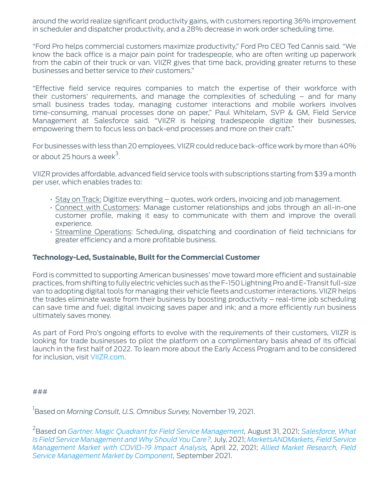around the world realize significant productivity gains, with customers reporting 36% improvement in scheduler and dispatcher productivity, and a 28% decrease in work order scheduling time.

"Ford Pro helps commercial customers maximize productivity," Ford Pro CEO Ted Cannis said. "We know the back office is a major pain point for tradespeople, who are often writing up paperwork from the cabin of their truck or van. VIIZR gives that time back, providing greater returns to these businesses and better service to *their* customers."

"Effective field service requires companies to match the expertise of their workforce with their customers' requirements, and manage the complexities of scheduling – and for many small business trades today, managing customer interactions and mobile workers involves time-consuming, manual processes done on paper," Paul Whitelam, SVP & GM, Field Service Management at Salesforce said. "VIIZR is helping tradespeople digitize their businesses, empowering them to focus less on back-end processes and more on their craft."

For businesses with less than 20 employees, VIIZR could reduce back-office work by more than 40% or about 25 hours a week $^3$ .

VIIZR provides affordable, advanced field service tools with subscriptions starting from \$39 a month per user, which enables trades to:

- Stay on Track: Digitize everything quotes, work orders, invoicing and job management.
- Connect with Customers: Manage customer relationships and jobs through an all-in-one customer profile, making it easy to communicate with them and improve the overall experience.
- Streamline Operations: Scheduling, dispatching and coordination of field technicians for greater efficiency and a more profitable business.

## **Technology-Led, Sustainable, Built for the Commercial Customer**

Ford is committed to supporting American businesses' move toward more efficient and sustainable practices, from shifting to fully electric vehicles such as the F-150 Lightning Pro and E-Transit full-size van to adopting digital tools for managing their vehicle fleets and customer interactions. VIIZR helps the trades eliminate waste from their business by boosting productivity – real-time job scheduling can save time and fuel; digital invoicing saves paper and ink; and a more efficiently run business ultimately saves money.

As part of Ford Pro's ongoing efforts to evolve with the requirements of their customers, VIIZR is looking for trade businesses to pilot the platform on a complimentary basis ahead of its official launch in the first half of 2022. To learn more about the Early Access Program and to be considered for inclusion, visit [VIIZR.com](https://viizr.com/).

###

1 Based on *Morning Consult, U.S. Omnibus Survey,* November 19, 2021.

2 Based on *[Gartner, Magic Quadrant for Field Service Management,](https://www.gartner.com/doc/reprints?id=1-273AW9B1&ct=210804&st=sb)* August 31, 2021; *[Salesforce, What](https://www.salesforce.com/products/field-service/resources/what-is-field-service-management/) [Is Field Service Management and Why Should You Care?,](https://www.salesforce.com/products/field-service/resources/what-is-field-service-management/)*July, 2021; *[MarketsANDMarkets, Field Service](https://www.marketsandmarkets.com/Market-Reports/field-service-management-market-209977425.html) [Management Market with COVID-19 Impact Analysis](https://www.marketsandmarkets.com/Market-Reports/field-service-management-market-209977425.html),* April 22, 2021; *[Allied Market Research, Field](https://www.alliedmarketresearch.com/field-service-management-market) [Service Management Market by Component](https://www.alliedmarketresearch.com/field-service-management-market),* September 2021.